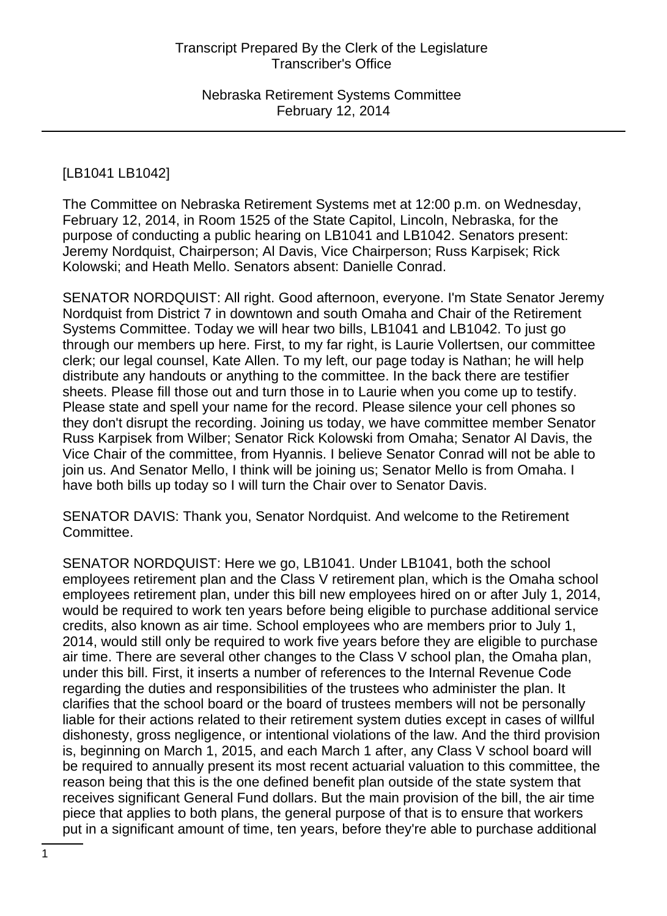# [LB1041 LB1042]

The Committee on Nebraska Retirement Systems met at 12:00 p.m. on Wednesday, February 12, 2014, in Room 1525 of the State Capitol, Lincoln, Nebraska, for the purpose of conducting a public hearing on LB1041 and LB1042. Senators present: Jeremy Nordquist, Chairperson; Al Davis, Vice Chairperson; Russ Karpisek; Rick Kolowski; and Heath Mello. Senators absent: Danielle Conrad.

SENATOR NORDQUIST: All right. Good afternoon, everyone. I'm State Senator Jeremy Nordquist from District 7 in downtown and south Omaha and Chair of the Retirement Systems Committee. Today we will hear two bills, LB1041 and LB1042. To just go through our members up here. First, to my far right, is Laurie Vollertsen, our committee clerk; our legal counsel, Kate Allen. To my left, our page today is Nathan; he will help distribute any handouts or anything to the committee. In the back there are testifier sheets. Please fill those out and turn those in to Laurie when you come up to testify. Please state and spell your name for the record. Please silence your cell phones so they don't disrupt the recording. Joining us today, we have committee member Senator Russ Karpisek from Wilber; Senator Rick Kolowski from Omaha; Senator Al Davis, the Vice Chair of the committee, from Hyannis. I believe Senator Conrad will not be able to join us. And Senator Mello, I think will be joining us; Senator Mello is from Omaha. I have both bills up today so I will turn the Chair over to Senator Davis.

SENATOR DAVIS: Thank you, Senator Nordquist. And welcome to the Retirement Committee.

SENATOR NORDQUIST: Here we go, LB1041. Under LB1041, both the school employees retirement plan and the Class V retirement plan, which is the Omaha school employees retirement plan, under this bill new employees hired on or after July 1, 2014, would be required to work ten years before being eligible to purchase additional service credits, also known as air time. School employees who are members prior to July 1, 2014, would still only be required to work five years before they are eligible to purchase air time. There are several other changes to the Class V school plan, the Omaha plan, under this bill. First, it inserts a number of references to the Internal Revenue Code regarding the duties and responsibilities of the trustees who administer the plan. It clarifies that the school board or the board of trustees members will not be personally liable for their actions related to their retirement system duties except in cases of willful dishonesty, gross negligence, or intentional violations of the law. And the third provision is, beginning on March 1, 2015, and each March 1 after, any Class V school board will be required to annually present its most recent actuarial valuation to this committee, the reason being that this is the one defined benefit plan outside of the state system that receives significant General Fund dollars. But the main provision of the bill, the air time piece that applies to both plans, the general purpose of that is to ensure that workers put in a significant amount of time, ten years, before they're able to purchase additional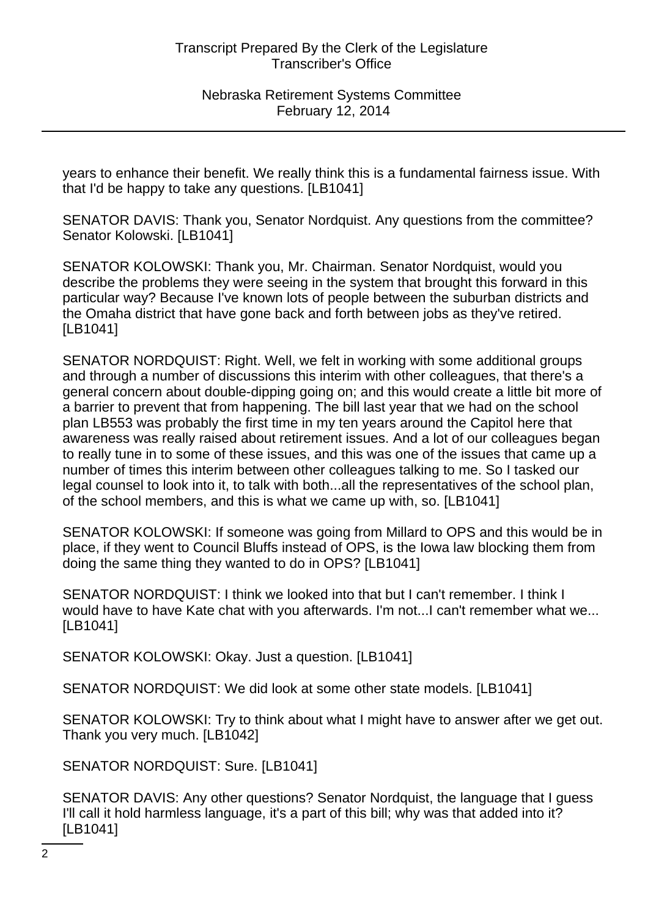years to enhance their benefit. We really think this is a fundamental fairness issue. With that I'd be happy to take any questions. [LB1041]

SENATOR DAVIS: Thank you, Senator Nordquist. Any questions from the committee? Senator Kolowski. [LB1041]

SENATOR KOLOWSKI: Thank you, Mr. Chairman. Senator Nordquist, would you describe the problems they were seeing in the system that brought this forward in this particular way? Because I've known lots of people between the suburban districts and the Omaha district that have gone back and forth between jobs as they've retired. [LB1041]

SENATOR NORDQUIST: Right. Well, we felt in working with some additional groups and through a number of discussions this interim with other colleagues, that there's a general concern about double-dipping going on; and this would create a little bit more of a barrier to prevent that from happening. The bill last year that we had on the school plan LB553 was probably the first time in my ten years around the Capitol here that awareness was really raised about retirement issues. And a lot of our colleagues began to really tune in to some of these issues, and this was one of the issues that came up a number of times this interim between other colleagues talking to me. So I tasked our legal counsel to look into it, to talk with both...all the representatives of the school plan, of the school members, and this is what we came up with, so. [LB1041]

SENATOR KOLOWSKI: If someone was going from Millard to OPS and this would be in place, if they went to Council Bluffs instead of OPS, is the Iowa law blocking them from doing the same thing they wanted to do in OPS? [LB1041]

SENATOR NORDQUIST: I think we looked into that but I can't remember. I think I would have to have Kate chat with you afterwards. I'm not...I can't remember what we... [LB1041]

SENATOR KOLOWSKI: Okay. Just a question. [LB1041]

SENATOR NORDQUIST: We did look at some other state models. [LB1041]

SENATOR KOLOWSKI: Try to think about what I might have to answer after we get out. Thank you very much. [LB1042]

SENATOR NORDQUIST: Sure. [LB1041]

SENATOR DAVIS: Any other questions? Senator Nordquist, the language that I guess I'll call it hold harmless language, it's a part of this bill; why was that added into it? [LB1041]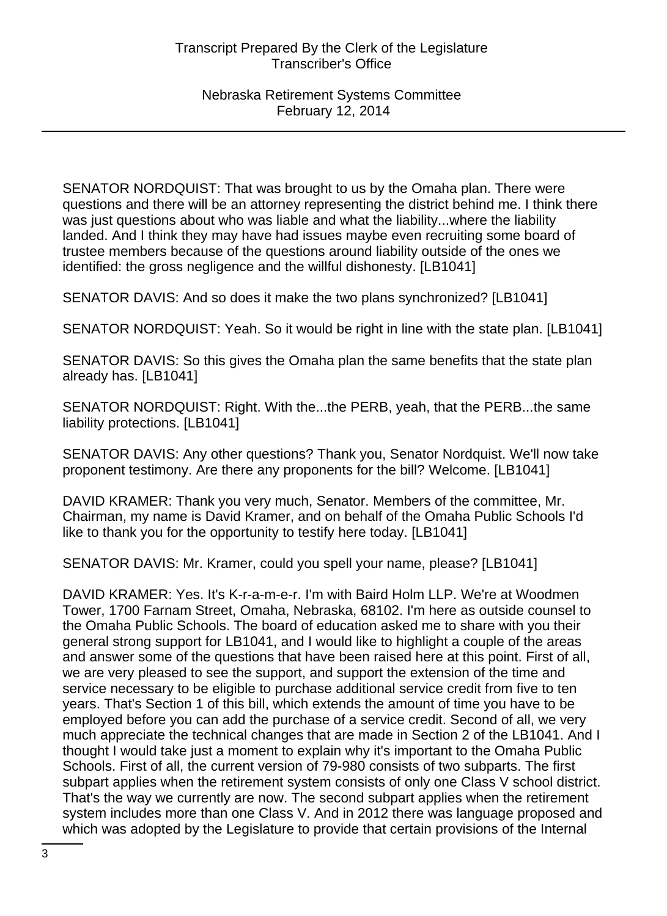SENATOR NORDQUIST: That was brought to us by the Omaha plan. There were questions and there will be an attorney representing the district behind me. I think there was just questions about who was liable and what the liability...where the liability landed. And I think they may have had issues maybe even recruiting some board of trustee members because of the questions around liability outside of the ones we identified: the gross negligence and the willful dishonesty. [LB1041]

SENATOR DAVIS: And so does it make the two plans synchronized? [LB1041]

SENATOR NORDQUIST: Yeah. So it would be right in line with the state plan. [LB1041]

SENATOR DAVIS: So this gives the Omaha plan the same benefits that the state plan already has. [LB1041]

SENATOR NORDQUIST: Right. With the...the PERB, yeah, that the PERB...the same liability protections. [LB1041]

SENATOR DAVIS: Any other questions? Thank you, Senator Nordquist. We'll now take proponent testimony. Are there any proponents for the bill? Welcome. [LB1041]

DAVID KRAMER: Thank you very much, Senator. Members of the committee, Mr. Chairman, my name is David Kramer, and on behalf of the Omaha Public Schools I'd like to thank you for the opportunity to testify here today. [LB1041]

SENATOR DAVIS: Mr. Kramer, could you spell your name, please? [LB1041]

DAVID KRAMER: Yes. It's K-r-a-m-e-r. I'm with Baird Holm LLP. We're at Woodmen Tower, 1700 Farnam Street, Omaha, Nebraska, 68102. I'm here as outside counsel to the Omaha Public Schools. The board of education asked me to share with you their general strong support for LB1041, and I would like to highlight a couple of the areas and answer some of the questions that have been raised here at this point. First of all, we are very pleased to see the support, and support the extension of the time and service necessary to be eligible to purchase additional service credit from five to ten years. That's Section 1 of this bill, which extends the amount of time you have to be employed before you can add the purchase of a service credit. Second of all, we very much appreciate the technical changes that are made in Section 2 of the LB1041. And I thought I would take just a moment to explain why it's important to the Omaha Public Schools. First of all, the current version of 79-980 consists of two subparts. The first subpart applies when the retirement system consists of only one Class V school district. That's the way we currently are now. The second subpart applies when the retirement system includes more than one Class V. And in 2012 there was language proposed and which was adopted by the Legislature to provide that certain provisions of the Internal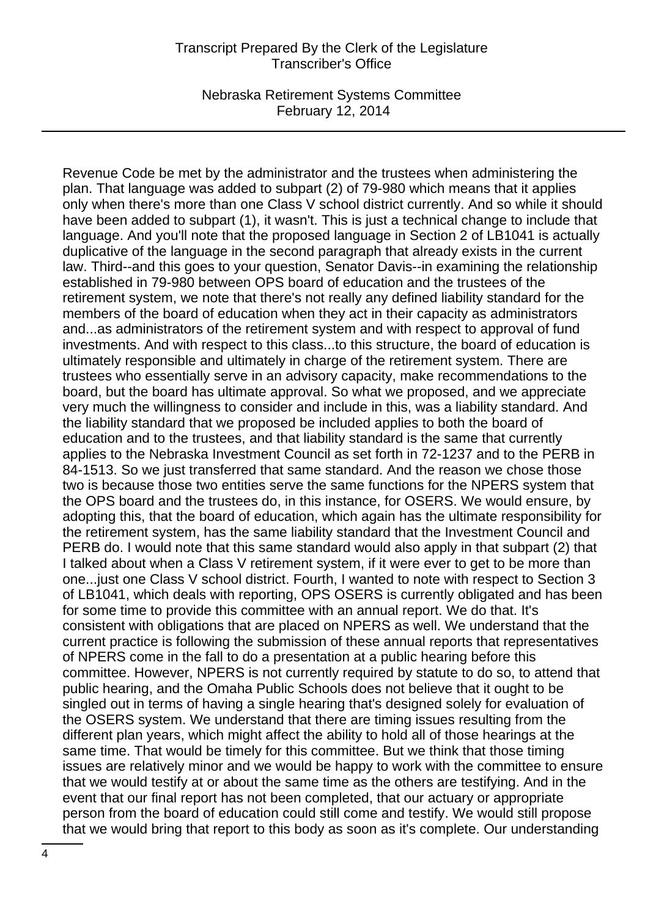Nebraska Retirement Systems Committee February 12, 2014

Revenue Code be met by the administrator and the trustees when administering the plan. That language was added to subpart (2) of 79-980 which means that it applies only when there's more than one Class V school district currently. And so while it should have been added to subpart (1), it wasn't. This is just a technical change to include that language. And you'll note that the proposed language in Section 2 of LB1041 is actually duplicative of the language in the second paragraph that already exists in the current law. Third--and this goes to your question, Senator Davis--in examining the relationship established in 79-980 between OPS board of education and the trustees of the retirement system, we note that there's not really any defined liability standard for the members of the board of education when they act in their capacity as administrators and...as administrators of the retirement system and with respect to approval of fund investments. And with respect to this class...to this structure, the board of education is ultimately responsible and ultimately in charge of the retirement system. There are trustees who essentially serve in an advisory capacity, make recommendations to the board, but the board has ultimate approval. So what we proposed, and we appreciate very much the willingness to consider and include in this, was a liability standard. And the liability standard that we proposed be included applies to both the board of education and to the trustees, and that liability standard is the same that currently applies to the Nebraska Investment Council as set forth in 72-1237 and to the PERB in 84-1513. So we just transferred that same standard. And the reason we chose those two is because those two entities serve the same functions for the NPERS system that the OPS board and the trustees do, in this instance, for OSERS. We would ensure, by adopting this, that the board of education, which again has the ultimate responsibility for the retirement system, has the same liability standard that the Investment Council and PERB do. I would note that this same standard would also apply in that subpart (2) that I talked about when a Class V retirement system, if it were ever to get to be more than one...just one Class V school district. Fourth, I wanted to note with respect to Section 3 of LB1041, which deals with reporting, OPS OSERS is currently obligated and has been for some time to provide this committee with an annual report. We do that. It's consistent with obligations that are placed on NPERS as well. We understand that the current practice is following the submission of these annual reports that representatives of NPERS come in the fall to do a presentation at a public hearing before this committee. However, NPERS is not currently required by statute to do so, to attend that public hearing, and the Omaha Public Schools does not believe that it ought to be singled out in terms of having a single hearing that's designed solely for evaluation of the OSERS system. We understand that there are timing issues resulting from the different plan years, which might affect the ability to hold all of those hearings at the same time. That would be timely for this committee. But we think that those timing issues are relatively minor and we would be happy to work with the committee to ensure that we would testify at or about the same time as the others are testifying. And in the event that our final report has not been completed, that our actuary or appropriate person from the board of education could still come and testify. We would still propose that we would bring that report to this body as soon as it's complete. Our understanding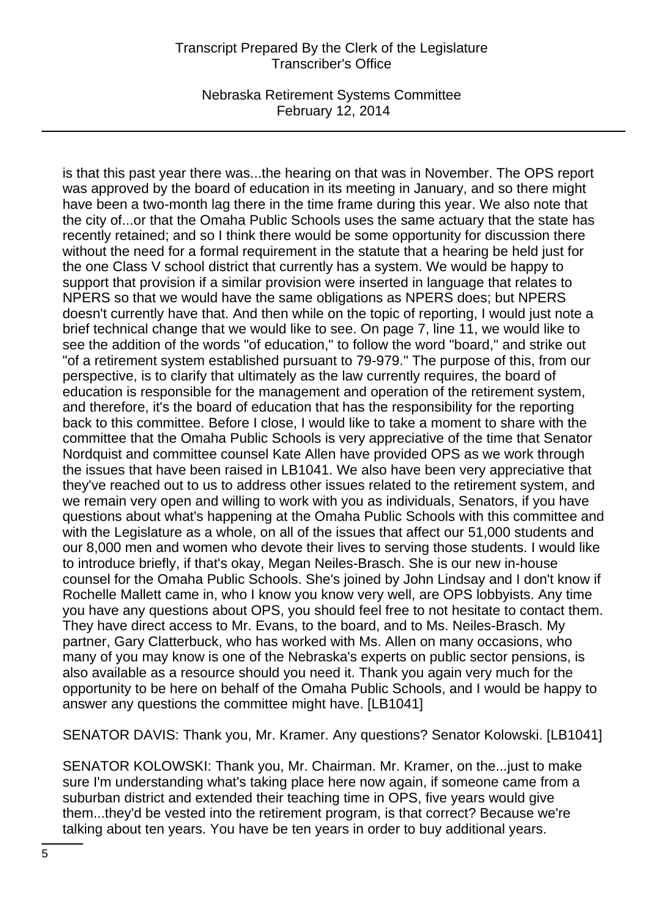Nebraska Retirement Systems Committee February 12, 2014

is that this past year there was...the hearing on that was in November. The OPS report was approved by the board of education in its meeting in January, and so there might have been a two-month lag there in the time frame during this year. We also note that the city of...or that the Omaha Public Schools uses the same actuary that the state has recently retained; and so I think there would be some opportunity for discussion there without the need for a formal requirement in the statute that a hearing be held just for the one Class V school district that currently has a system. We would be happy to support that provision if a similar provision were inserted in language that relates to NPERS so that we would have the same obligations as NPERS does; but NPERS doesn't currently have that. And then while on the topic of reporting, I would just note a brief technical change that we would like to see. On page 7, line 11, we would like to see the addition of the words "of education," to follow the word "board," and strike out "of a retirement system established pursuant to 79-979." The purpose of this, from our perspective, is to clarify that ultimately as the law currently requires, the board of education is responsible for the management and operation of the retirement system, and therefore, it's the board of education that has the responsibility for the reporting back to this committee. Before I close, I would like to take a moment to share with the committee that the Omaha Public Schools is very appreciative of the time that Senator Nordquist and committee counsel Kate Allen have provided OPS as we work through the issues that have been raised in LB1041. We also have been very appreciative that they've reached out to us to address other issues related to the retirement system, and we remain very open and willing to work with you as individuals, Senators, if you have questions about what's happening at the Omaha Public Schools with this committee and with the Legislature as a whole, on all of the issues that affect our 51,000 students and our 8,000 men and women who devote their lives to serving those students. I would like to introduce briefly, if that's okay, Megan Neiles-Brasch. She is our new in-house counsel for the Omaha Public Schools. She's joined by John Lindsay and I don't know if Rochelle Mallett came in, who I know you know very well, are OPS lobbyists. Any time you have any questions about OPS, you should feel free to not hesitate to contact them. They have direct access to Mr. Evans, to the board, and to Ms. Neiles-Brasch. My partner, Gary Clatterbuck, who has worked with Ms. Allen on many occasions, who many of you may know is one of the Nebraska's experts on public sector pensions, is also available as a resource should you need it. Thank you again very much for the opportunity to be here on behalf of the Omaha Public Schools, and I would be happy to answer any questions the committee might have. [LB1041]

SENATOR DAVIS: Thank you, Mr. Kramer. Any questions? Senator Kolowski. [LB1041]

SENATOR KOLOWSKI: Thank you, Mr. Chairman. Mr. Kramer, on the...just to make sure I'm understanding what's taking place here now again, if someone came from a suburban district and extended their teaching time in OPS, five years would give them...they'd be vested into the retirement program, is that correct? Because we're talking about ten years. You have be ten years in order to buy additional years.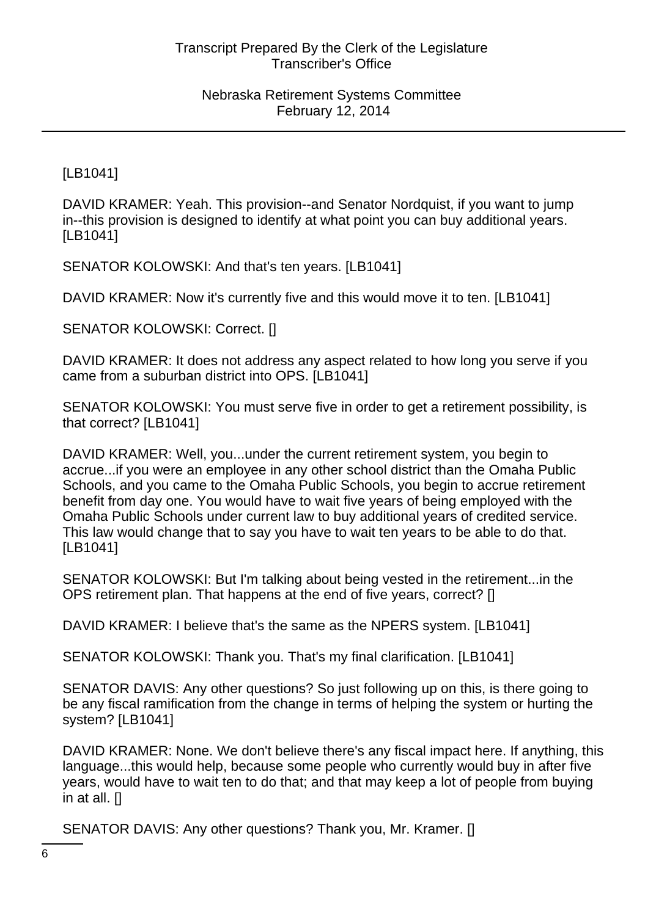[LB1041]

DAVID KRAMER: Yeah. This provision--and Senator Nordquist, if you want to jump in--this provision is designed to identify at what point you can buy additional years. [LB1041]

SENATOR KOLOWSKI: And that's ten years. [LB1041]

DAVID KRAMER: Now it's currently five and this would move it to ten. [LB1041]

SENATOR KOLOWSKI: Correct. []

DAVID KRAMER: It does not address any aspect related to how long you serve if you came from a suburban district into OPS. [LB1041]

SENATOR KOLOWSKI: You must serve five in order to get a retirement possibility, is that correct? [LB1041]

DAVID KRAMER: Well, you...under the current retirement system, you begin to accrue...if you were an employee in any other school district than the Omaha Public Schools, and you came to the Omaha Public Schools, you begin to accrue retirement benefit from day one. You would have to wait five years of being employed with the Omaha Public Schools under current law to buy additional years of credited service. This law would change that to say you have to wait ten years to be able to do that. [LB1041]

SENATOR KOLOWSKI: But I'm talking about being vested in the retirement...in the OPS retirement plan. That happens at the end of five years, correct? []

DAVID KRAMER: I believe that's the same as the NPERS system. [LB1041]

SENATOR KOLOWSKI: Thank you. That's my final clarification. [LB1041]

SENATOR DAVIS: Any other questions? So just following up on this, is there going to be any fiscal ramification from the change in terms of helping the system or hurting the system? [LB1041]

DAVID KRAMER: None. We don't believe there's any fiscal impact here. If anything, this language...this would help, because some people who currently would buy in after five years, would have to wait ten to do that; and that may keep a lot of people from buying in at all. []

SENATOR DAVIS: Any other questions? Thank you, Mr. Kramer. []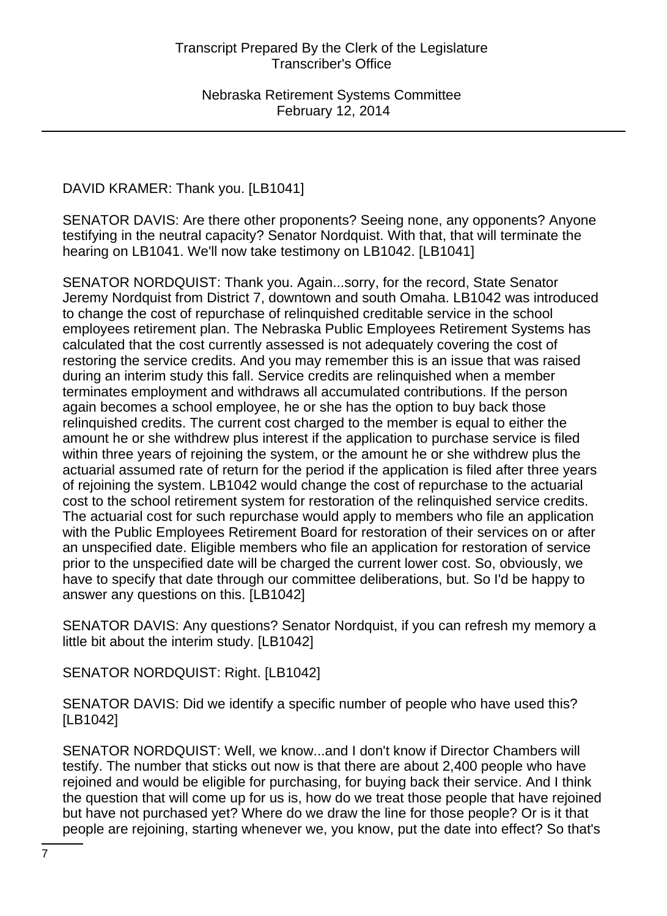DAVID KRAMER: Thank you. [LB1041]

SENATOR DAVIS: Are there other proponents? Seeing none, any opponents? Anyone testifying in the neutral capacity? Senator Nordquist. With that, that will terminate the hearing on LB1041. We'll now take testimony on LB1042. [LB1041]

SENATOR NORDQUIST: Thank you. Again...sorry, for the record, State Senator Jeremy Nordquist from District 7, downtown and south Omaha. LB1042 was introduced to change the cost of repurchase of relinquished creditable service in the school employees retirement plan. The Nebraska Public Employees Retirement Systems has calculated that the cost currently assessed is not adequately covering the cost of restoring the service credits. And you may remember this is an issue that was raised during an interim study this fall. Service credits are relinquished when a member terminates employment and withdraws all accumulated contributions. If the person again becomes a school employee, he or she has the option to buy back those relinquished credits. The current cost charged to the member is equal to either the amount he or she withdrew plus interest if the application to purchase service is filed within three years of rejoining the system, or the amount he or she withdrew plus the actuarial assumed rate of return for the period if the application is filed after three years of rejoining the system. LB1042 would change the cost of repurchase to the actuarial cost to the school retirement system for restoration of the relinquished service credits. The actuarial cost for such repurchase would apply to members who file an application with the Public Employees Retirement Board for restoration of their services on or after an unspecified date. Eligible members who file an application for restoration of service prior to the unspecified date will be charged the current lower cost. So, obviously, we have to specify that date through our committee deliberations, but. So I'd be happy to answer any questions on this. [LB1042]

SENATOR DAVIS: Any questions? Senator Nordquist, if you can refresh my memory a little bit about the interim study. [LB1042]

SENATOR NORDQUIST: Right. [LB1042]

SENATOR DAVIS: Did we identify a specific number of people who have used this? [LB1042]

SENATOR NORDQUIST: Well, we know...and I don't know if Director Chambers will testify. The number that sticks out now is that there are about 2,400 people who have rejoined and would be eligible for purchasing, for buying back their service. And I think the question that will come up for us is, how do we treat those people that have rejoined but have not purchased yet? Where do we draw the line for those people? Or is it that people are rejoining, starting whenever we, you know, put the date into effect? So that's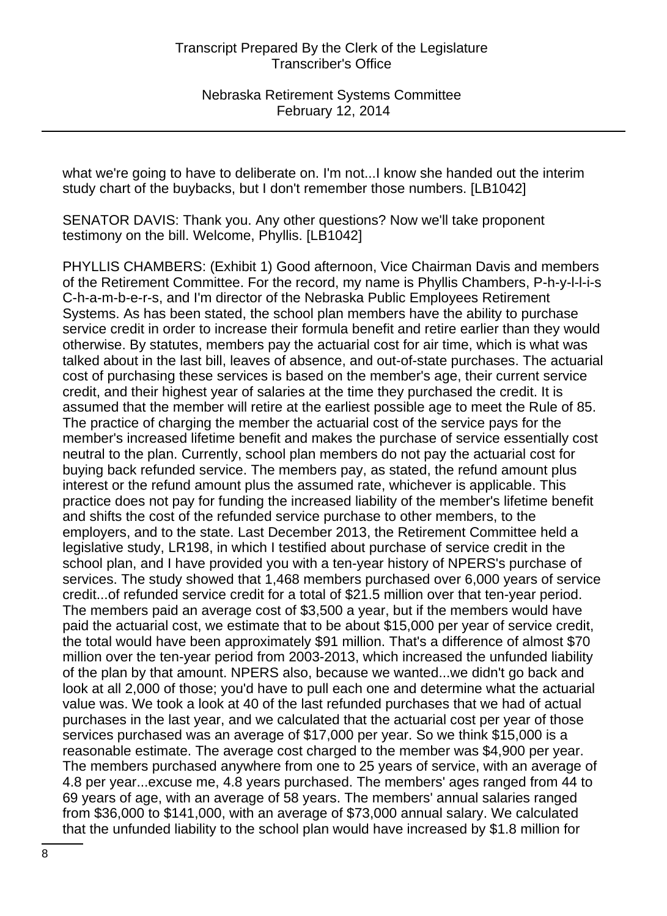what we're going to have to deliberate on. I'm not...I know she handed out the interim study chart of the buybacks, but I don't remember those numbers. [LB1042]

SENATOR DAVIS: Thank you. Any other questions? Now we'll take proponent testimony on the bill. Welcome, Phyllis. [LB1042]

PHYLLIS CHAMBERS: (Exhibit 1) Good afternoon, Vice Chairman Davis and members of the Retirement Committee. For the record, my name is Phyllis Chambers, P-h-y-l-l-i-s C-h-a-m-b-e-r-s, and I'm director of the Nebraska Public Employees Retirement Systems. As has been stated, the school plan members have the ability to purchase service credit in order to increase their formula benefit and retire earlier than they would otherwise. By statutes, members pay the actuarial cost for air time, which is what was talked about in the last bill, leaves of absence, and out-of-state purchases. The actuarial cost of purchasing these services is based on the member's age, their current service credit, and their highest year of salaries at the time they purchased the credit. It is assumed that the member will retire at the earliest possible age to meet the Rule of 85. The practice of charging the member the actuarial cost of the service pays for the member's increased lifetime benefit and makes the purchase of service essentially cost neutral to the plan. Currently, school plan members do not pay the actuarial cost for buying back refunded service. The members pay, as stated, the refund amount plus interest or the refund amount plus the assumed rate, whichever is applicable. This practice does not pay for funding the increased liability of the member's lifetime benefit and shifts the cost of the refunded service purchase to other members, to the employers, and to the state. Last December 2013, the Retirement Committee held a legislative study, LR198, in which I testified about purchase of service credit in the school plan, and I have provided you with a ten-year history of NPERS's purchase of services. The study showed that 1,468 members purchased over 6,000 years of service credit...of refunded service credit for a total of \$21.5 million over that ten-year period. The members paid an average cost of \$3,500 a year, but if the members would have paid the actuarial cost, we estimate that to be about \$15,000 per year of service credit, the total would have been approximately \$91 million. That's a difference of almost \$70 million over the ten-year period from 2003-2013, which increased the unfunded liability of the plan by that amount. NPERS also, because we wanted...we didn't go back and look at all 2,000 of those; you'd have to pull each one and determine what the actuarial value was. We took a look at 40 of the last refunded purchases that we had of actual purchases in the last year, and we calculated that the actuarial cost per year of those services purchased was an average of \$17,000 per year. So we think \$15,000 is a reasonable estimate. The average cost charged to the member was \$4,900 per year. The members purchased anywhere from one to 25 years of service, with an average of 4.8 per year...excuse me, 4.8 years purchased. The members' ages ranged from 44 to 69 years of age, with an average of 58 years. The members' annual salaries ranged from \$36,000 to \$141,000, with an average of \$73,000 annual salary. We calculated that the unfunded liability to the school plan would have increased by \$1.8 million for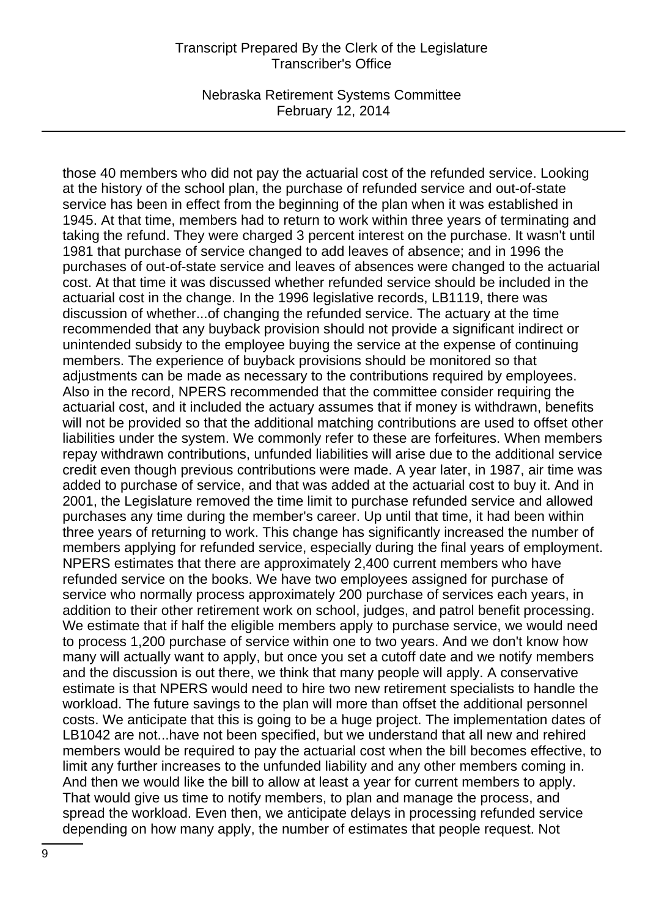Nebraska Retirement Systems Committee February 12, 2014

those 40 members who did not pay the actuarial cost of the refunded service. Looking at the history of the school plan, the purchase of refunded service and out-of-state service has been in effect from the beginning of the plan when it was established in 1945. At that time, members had to return to work within three years of terminating and taking the refund. They were charged 3 percent interest on the purchase. It wasn't until 1981 that purchase of service changed to add leaves of absence; and in 1996 the purchases of out-of-state service and leaves of absences were changed to the actuarial cost. At that time it was discussed whether refunded service should be included in the actuarial cost in the change. In the 1996 legislative records, LB1119, there was discussion of whether...of changing the refunded service. The actuary at the time recommended that any buyback provision should not provide a significant indirect or unintended subsidy to the employee buying the service at the expense of continuing members. The experience of buyback provisions should be monitored so that adjustments can be made as necessary to the contributions required by employees. Also in the record, NPERS recommended that the committee consider requiring the actuarial cost, and it included the actuary assumes that if money is withdrawn, benefits will not be provided so that the additional matching contributions are used to offset other liabilities under the system. We commonly refer to these are forfeitures. When members repay withdrawn contributions, unfunded liabilities will arise due to the additional service credit even though previous contributions were made. A year later, in 1987, air time was added to purchase of service, and that was added at the actuarial cost to buy it. And in 2001, the Legislature removed the time limit to purchase refunded service and allowed purchases any time during the member's career. Up until that time, it had been within three years of returning to work. This change has significantly increased the number of members applying for refunded service, especially during the final years of employment. NPERS estimates that there are approximately 2,400 current members who have refunded service on the books. We have two employees assigned for purchase of service who normally process approximately 200 purchase of services each years, in addition to their other retirement work on school, judges, and patrol benefit processing. We estimate that if half the eligible members apply to purchase service, we would need to process 1,200 purchase of service within one to two years. And we don't know how many will actually want to apply, but once you set a cutoff date and we notify members and the discussion is out there, we think that many people will apply. A conservative estimate is that NPERS would need to hire two new retirement specialists to handle the workload. The future savings to the plan will more than offset the additional personnel costs. We anticipate that this is going to be a huge project. The implementation dates of LB1042 are not...have not been specified, but we understand that all new and rehired members would be required to pay the actuarial cost when the bill becomes effective, to limit any further increases to the unfunded liability and any other members coming in. And then we would like the bill to allow at least a year for current members to apply. That would give us time to notify members, to plan and manage the process, and spread the workload. Even then, we anticipate delays in processing refunded service depending on how many apply, the number of estimates that people request. Not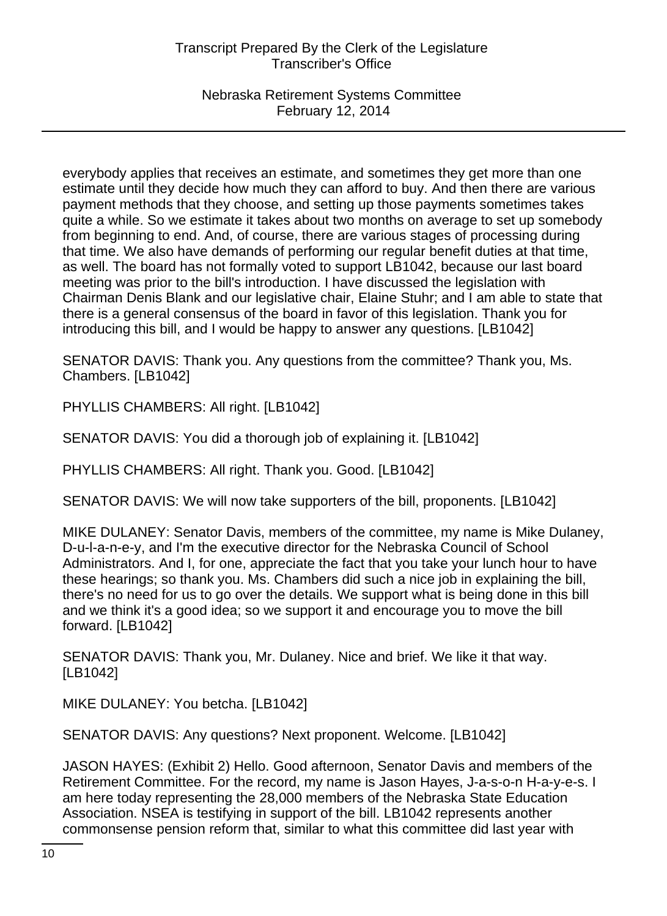Nebraska Retirement Systems Committee February 12, 2014

everybody applies that receives an estimate, and sometimes they get more than one estimate until they decide how much they can afford to buy. And then there are various payment methods that they choose, and setting up those payments sometimes takes quite a while. So we estimate it takes about two months on average to set up somebody from beginning to end. And, of course, there are various stages of processing during that time. We also have demands of performing our regular benefit duties at that time, as well. The board has not formally voted to support LB1042, because our last board meeting was prior to the bill's introduction. I have discussed the legislation with Chairman Denis Blank and our legislative chair, Elaine Stuhr; and I am able to state that there is a general consensus of the board in favor of this legislation. Thank you for introducing this bill, and I would be happy to answer any questions. [LB1042]

SENATOR DAVIS: Thank you. Any questions from the committee? Thank you, Ms. Chambers. [LB1042]

PHYLLIS CHAMBERS: All right. [LB1042]

SENATOR DAVIS: You did a thorough job of explaining it. [LB1042]

PHYLLIS CHAMBERS: All right. Thank you. Good. [LB1042]

SENATOR DAVIS: We will now take supporters of the bill, proponents. [LB1042]

MIKE DULANEY: Senator Davis, members of the committee, my name is Mike Dulaney, D-u-l-a-n-e-y, and I'm the executive director for the Nebraska Council of School Administrators. And I, for one, appreciate the fact that you take your lunch hour to have these hearings; so thank you. Ms. Chambers did such a nice job in explaining the bill, there's no need for us to go over the details. We support what is being done in this bill and we think it's a good idea; so we support it and encourage you to move the bill forward. [LB1042]

SENATOR DAVIS: Thank you, Mr. Dulaney. Nice and brief. We like it that way. [LB1042]

MIKE DULANEY: You betcha. [LB1042]

SENATOR DAVIS: Any questions? Next proponent. Welcome. [LB1042]

JASON HAYES: (Exhibit 2) Hello. Good afternoon, Senator Davis and members of the Retirement Committee. For the record, my name is Jason Hayes, J-a-s-o-n H-a-y-e-s. I am here today representing the 28,000 members of the Nebraska State Education Association. NSEA is testifying in support of the bill. LB1042 represents another commonsense pension reform that, similar to what this committee did last year with